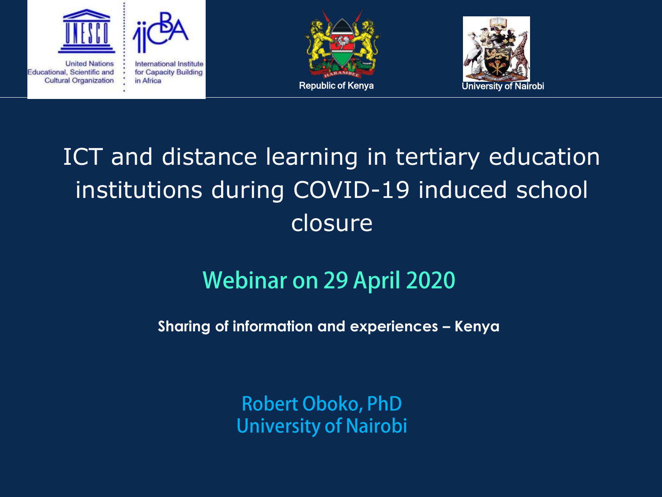



**United Nations** Educational, Scientific and **Cultural Organization**  International Institute for Capacity Building in Africa





#### ICT and distance learning in tertiary education institutions during COVID-19 induced school closure

#### **Webinar on 29 April 2020**

**Sharing of information and experiences – Kenya**

**Robert Oboko, PhD University of Nairobi**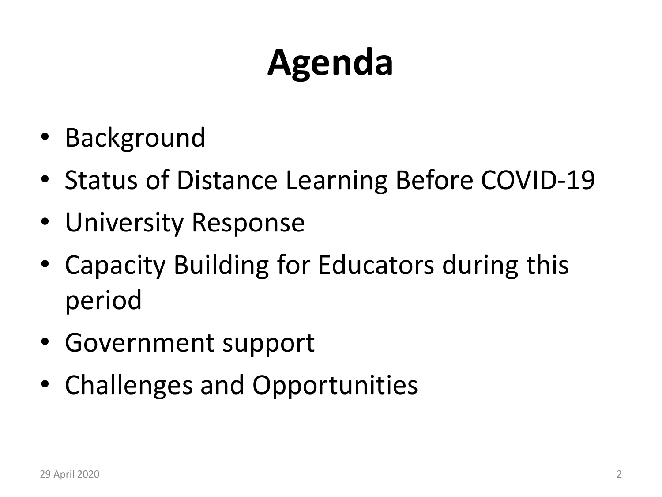### **Agenda**

- Background
- Status of Distance Learning Before COVID-19
- University Response
- Capacity Building for Educators during this period
- Government support
- Challenges and Opportunities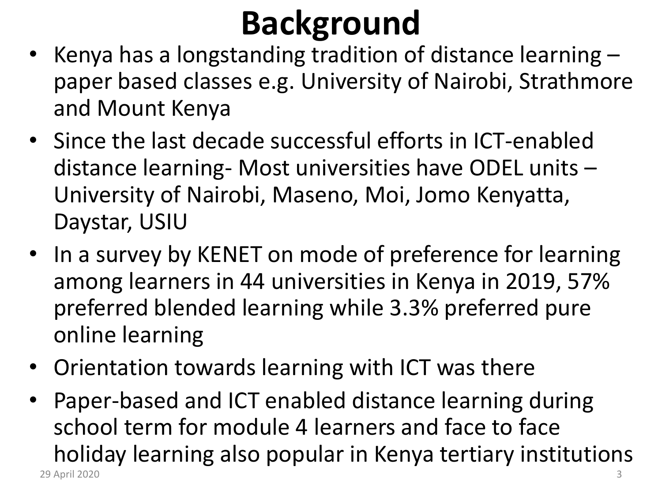#### **Background**

- Kenya has a longstanding tradition of distance learning paper based classes e.g. University of Nairobi, Strathmore and Mount Kenya
- Since the last decade successful efforts in ICT-enabled distance learning- Most universities have ODEL units – University of Nairobi, Maseno, Moi, Jomo Kenyatta, Daystar, USIU
- In a survey by KENET on mode of preference for learning among learners in 44 universities in Kenya in 2019, 57% preferred blended learning while 3.3% preferred pure online learning
- Orientation towards learning with ICT was there
- Paper-based and ICT enabled distance learning during school term for module 4 learners and face to face holiday learning also popular in Kenya tertiary institutions 29 April 2020 3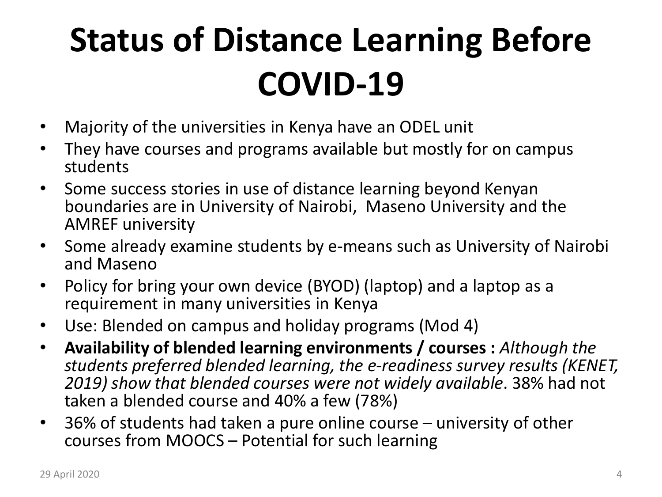### **Status of Distance Learning Before COVID-19**

- Majority of the universities in Kenya have an ODEL unit
- They have courses and programs available but mostly for on campus students
- Some success stories in use of distance learning beyond Kenyan boundaries are in University of Nairobi, Maseno University and the AMREF university
- Some already examine students by e-means such as University of Nairobi and Maseno
- Policy for bring your own device (BYOD) (laptop) and a laptop as a requirement in many universities in Kenya
- Use: Blended on campus and holiday programs (Mod 4)
- **Availability of blended learning environments / courses :** *Although the students preferred blended learning, the e-readiness survey results (KENET, 2019) show that blended courses were not widely available*. 38% had not taken a blended course and 40% a few (78%)
- 36% of students had taken a pure online course university of other courses from MOOCS – Potential for such learning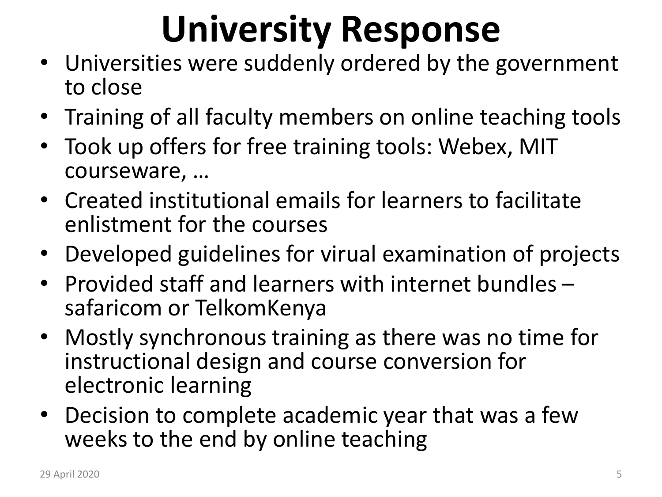### **University Response**

- Universities were suddenly ordered by the government to close
- Training of all faculty members on online teaching tools
- Took up offers for free training tools: Webex, MIT courseware, …
- Created institutional emails for learners to facilitate enlistment for the courses
- Developed guidelines for virual examination of projects
- Provided staff and learners with internet bundles safaricom or TelkomKenya
- Mostly synchronous training as there was no time for instructional design and course conversion for electronic learning
- Decision to complete academic year that was a few weeks to the end by online teaching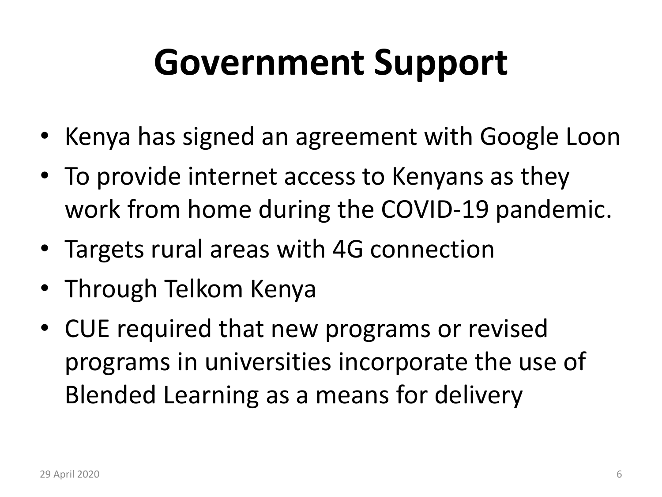### **Government Support**

- Kenya has signed an agreement with Google Loon
- To provide internet access to Kenyans as they work from home during the COVID-19 pandemic.
- Targets rural areas with 4G connection
- Through Telkom Kenya
- CUE required that new programs or revised programs in universities incorporate the use of Blended Learning as a means for delivery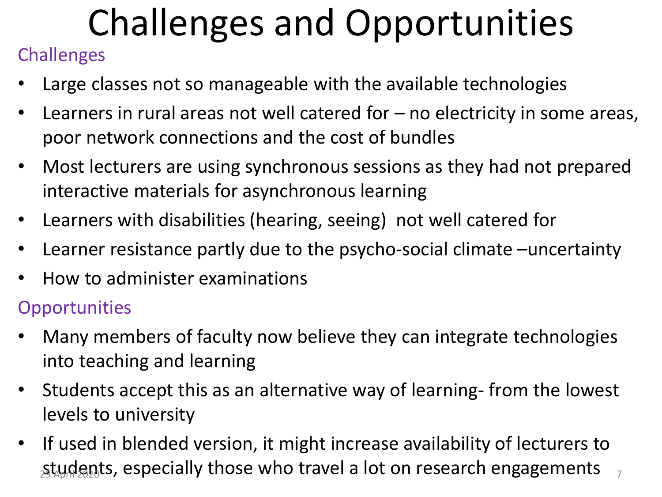## Challenges and Opportunities

#### **Challenges**

- Large classes not so manageable with the available technologies
- Learners in rural areas not well catered for no electricity in some areas, poor network connections and the cost of bundles
- Most lecturers are using synchronous sessions as they had not prepared interactive materials for asynchronous learning
- Learners with disabilities (hearing, seeing) not well catered for
- Learner resistance partly due to the psycho-social climate –uncertainty
- How to administer examinations

#### **Opportunities**

- Many members of faculty now believe they can integrate technologies into teaching and learning
- Students accept this as an alternative way of learning- from the lowest levels to university
- If used in blended version, it might increase availability of lecturers to students, especially those who travel a lot on research engagements  $\frac{1}{7}$